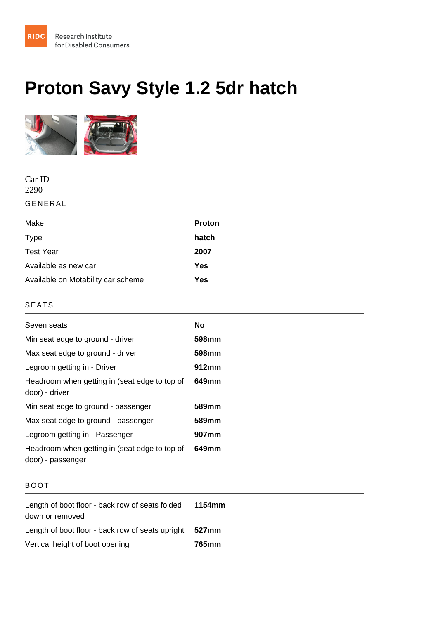## Proton Savy Style 1.2 5dr hatch

| Car ID<br>2290                                                     |           |
|--------------------------------------------------------------------|-----------|
| <b>GENERAL</b>                                                     |           |
| Make                                                               | Proton    |
| <b>Type</b>                                                        | hatch     |
| <b>Test Year</b>                                                   | 2007      |
| Available as new car                                               | Yes       |
| Available on Motability car scheme                                 | Yes       |
| <b>SEATS</b>                                                       |           |
| Seven seats                                                        | <b>No</b> |
| Min seat edge to ground - driver                                   | 598mm     |
| Max seat edge to ground - driver                                   | 598mm     |
| Legroom getting in - Driver                                        | 912mm     |
| Headroom when getting in (seat edge to top of<br>door) - driver    | 649mm     |
| Min seat edge to ground - passenger                                | 589mm     |
| Max seat edge to ground - passenger                                | 589mm     |
| Legroom getting in - Passenger                                     | 907mm     |
| Headroom when getting in (seat edge to top of<br>door) - passenger | 649mm     |
| <b>BOOT</b>                                                        |           |
| Length of boot floor - back row of seats folded<br>down or removed | 1154mm    |
| Length of boot floor - back row of seats upright                   | 527mm     |
| Vertical height of boot opening                                    | 765mm     |